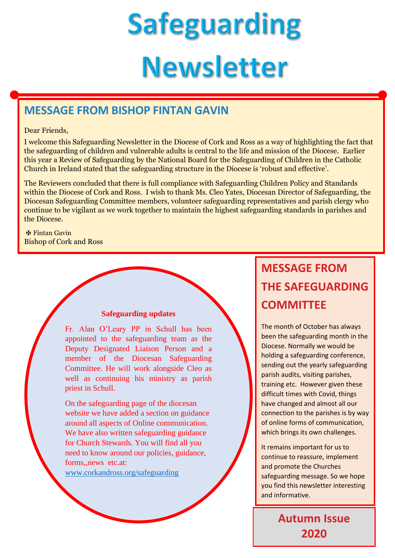# **Safeguarding Newsletter**

## **MESSAGE FROM BISHOP FINTAN GAVIN**

#### Dear Friends,

I welcome this Safeguarding Newsletter in the Diocese of Cork and Ross as a way of highlighting the fact that the safeguarding of children and vulnerable adults is central to the life and mission of the Diocese. Earlier this year a Review of Safeguarding by the National Board for the Safeguarding of Children in the Catholic Church in Ireland stated that the safeguarding structure in the Diocese is 'robust and effective'.

The Reviewers concluded that there is full compliance with Safeguarding Children Policy and Standards within the Diocese of Cork and Ross. I wish to thank Ms. Cleo Yates, Diocesan Director of Safeguarding, the Diocesan Safeguarding Committee members, volunteer safeguarding representatives and parish clergy who continue to be vigilant as we work together to maintain the highest safeguarding standards in parishes and the Diocese.

✠ Fintan Gavin Bishop of Cork and Ross

#### **Safeguarding updates**

Fr. Alan O'Leary PP in Schull has been appointed to the safeguarding team as the Deputy Designated Liaison Person and a member of the Diocesan Safeguarding Committee. He will work alongside Cleo as well as continuing his ministry as parish priest in Schull.

On the safeguarding page of the diocesan website we have added a section on guidance around all aspects of Online communication. We have also written safeguarding guidance for Church Stewards. You will find all you need to know around our policies, guidance, forms,,news etc.at:

[www.corkandross.org/safeguarding.](http://www.corkandross.org/safeguarding)

## **MESSAGE FROM THE SAFEGUARDING COMMITTEE**

The month of October has always been the safeguarding month in the Diocese. Normally we would be holding a safeguarding conference, sending out the yearly safeguarding parish audits, visiting parishes, training etc. However given these difficult times with Covid, things have changed and almost all our connection to the parishes is by way of online forms of communication, which brings its own challenges.

It remains important for us to continue to reassure, implement and promote the Churches safeguarding message. So we hope you find this newsletter interesting and informative.

> **Autumn Issue 2020**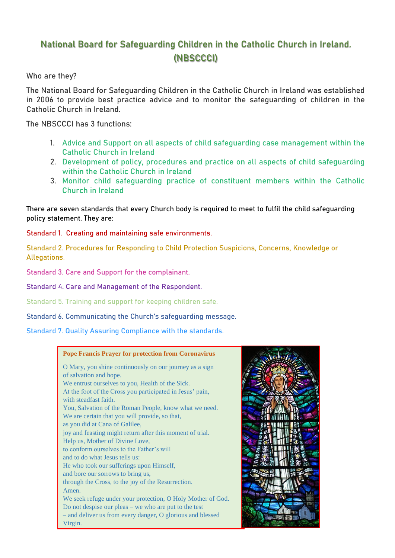## **National Board for Safeguarding Children in the Catholic Church in Ireland. (NBSCCCI)**

**Who are they?**

The National Board for Safeguarding Children in the Catholic Church in Ireland was established in 2006 to provide best practice advice and to monitor the safeguarding of children in the Catholic Church in Ireland.

The NBSCCCI has 3 functions:

- 1. [Advice and Support on all aspects of child safeguarding case management within the](https://www.safeguarding.ie/index.php/advice-and-support)  [Catholic Church in Ireland](https://www.safeguarding.ie/index.php/advice-and-support)
- 2. [Development of policy, procedures and practice on all aspects of child safeguarding](https://www.safeguarding.ie/index.php/development-of-policy-procedures-and-practice)  [within the Catholic Church in Ireland](https://www.safeguarding.ie/index.php/development-of-policy-procedures-and-practice)
- 3. [Monitor child safeguarding practice of constituent members within the Catholic](https://www.safeguarding.ie/index.php/monitor-practice)  [Church in Ireland](https://www.safeguarding.ie/index.php/monitor-practice)

There are seven standards that every Church body is required to meet to fulfil the child safeguarding policy statement. They are:

**Standard 1. Creating and maintaining safe environments.**

**Standard 2. Procedures for Responding to Child Protection Suspicions, Concerns, Knowledge or Allegations.**

**Standard 3. Care and Support for the complainant.**

**Standard 4. Care and Management of the Respondent.**

**Standard 5. Training and support for keeping children safe.**

**Standard 6. Communicating the Church's safeguarding message.**

**Standard 7. Quality Assuring Compliance with the standards.**

#### **Pope Francis Prayer for protection from Coronavirus**

O Mary, you shine continuously on our journey as a sign of salvation and hope.

We entrust ourselves to you, Health of the Sick. At the foot of the Cross you participated in Jesus' pain, with steadfast faith. You, Salvation of the Roman People, know what we need.

We are certain that you will provide, so that, as you did at Cana of Galilee,

joy and feasting might return after this moment of trial.

- Help us, Mother of Divine Love,
- to conform ourselves to the Father's will
- and to do what Jesus tells us:

He who took our sufferings upon Himself,

and bore our sorrows to bring us,

through the Cross, to the joy of the Resurrection. Amen.

We seek refuge under your protection, O Holy Mother of God. Do not despise our pleas – we who are put to the test

– and deliver us from every danger, O glorious and blessed Virgin.

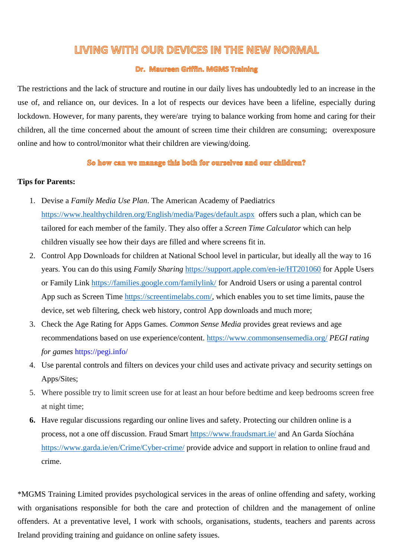## LIVING WITH OUR DEVICES IN THE NEW NORMAL

#### Dr. Maureen Griffin. MGMS Training

The restrictions and the lack of structure and routine in our daily lives has undoubtedly led to an increase in the use of, and reliance on, our devices. In a lot of respects our devices have been a lifeline, especially during lockdown. However, for many parents, they were/are trying to balance working from home and caring for their children, all the time concerned about the amount of screen time their children are consuming; overexposure online and how to control/monitor what their children are viewing/doing.

#### So how can we manage this both for ourselves and our children?

#### **Tips for Parents:**

- 1. Devise a *Family Media Use Plan*. The American Academy of Paediatrics <https://www.healthychildren.org/English/media/Pages/default.aspx> offers such a plan, which can be tailored for each member of the family. They also offer a *Screen Time Calculator* which can help children visually see how their days are filled and where screens fit in.
- 2. Control App Downloads for children at National School level in particular, but ideally all the way to 16 years. You can do this using *Family Sharing* <https://support.apple.com/en-ie/HT201060> for Apple Users or Family Link<https://families.google.com/familylink/> for Android Users or using a parental control App such as Screen Time [https://screentimelabs.com/,](https://screentimelabs.com/) which enables you to set time limits, pause the device, set web filtering, check web history, control App downloads and much more;
- 3. Check the Age Rating for Apps Games. *Common Sense Media* provides great reviews and age recommendations based on use experience/content. <https://www.commonsensemedia.org/> *PEGI rating for games* https://pegi.info/
- 4. Use parental controls and filters on devices your child uses and activate privacy and security settings on Apps/Sites;
- 5. Where possible try to limit screen use for at least an hour before bedtime and keep bedrooms screen free at night time;
- **6.** Have regular discussions regarding our online lives and safety. Protecting our children online is a process, not a one off discussion. Fraud Smart<https://www.fraudsmart.ie/> and An Garda Síochána <https://www.garda.ie/en/Crime/Cyber-crime/> provide advice and support in relation to online fraud and crime.

\*MGMS Training Limited provides psychological services in the areas of online offending and safety, working with organisations responsible for both the care and protection of children and the management of online offenders. At a preventative level, I work with schools, organisations, students, teachers and parents across Ireland providing training and guidance on online safety issues.